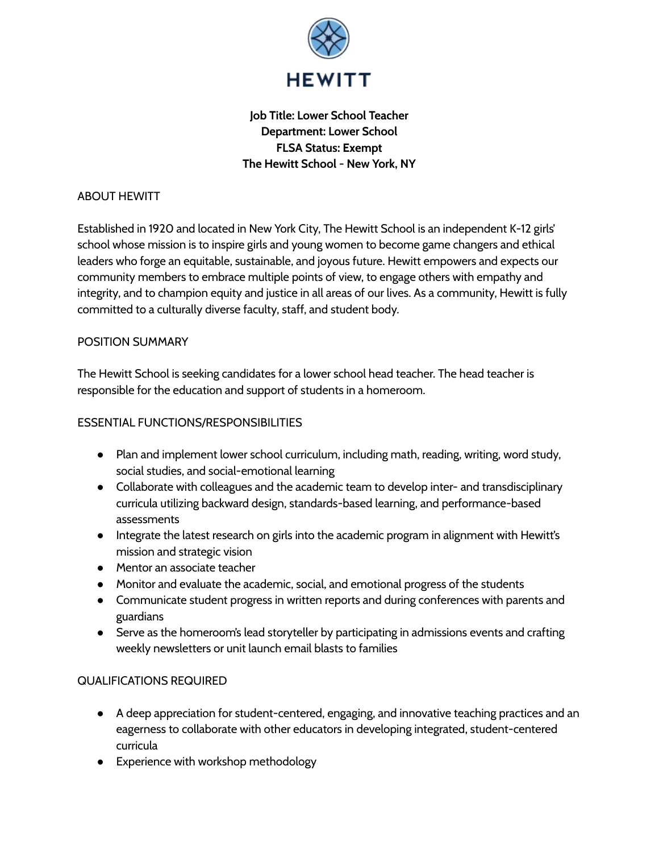

# **Job Title: Lower School Teacher Department: Lower School FLSA Status: Exempt The Hewitt School - New York, NY**

#### ABOUT HEWITT

Established in 1920 and located in New York City, The Hewitt School is an independent K-12 girls' school whose mission is to inspire girls and young women to become game changers and ethical leaders who forge an equitable, sustainable, and joyous future. Hewitt empowers and expects our community members to embrace multiple points of view, to engage others with empathy and integrity, and to champion equity and justice in all areas of our lives. As a community, Hewitt is fully committed to a culturally diverse faculty, staff, and student body.

#### POSITION SUMMARY

The Hewitt School is seeking candidates for a lower school head teacher. The head teacher is responsible for the education and support of students in a homeroom.

## ESSENTIAL FUNCTIONS/RESPONSIBILITIES

- Plan and implement lower school curriculum, including math, reading, writing, word study, social studies, and social-emotional learning
- Collaborate with colleagues and the academic team to develop inter- and transdisciplinary curricula utilizing backward design, standards-based learning, and performance-based assessments
- Integrate the latest research on girls into the academic program in alignment with Hewitt's mission and strategic vision
- Mentor an associate teacher
- Monitor and evaluate the academic, social, and emotional progress of the students
- Communicate student progress in written reports and during conferences with parents and guardians
- Serve as the homeroom's lead storyteller by participating in admissions events and crafting weekly newsletters or unit launch email blasts to families

## QUALIFICATIONS REQUIRED

- A deep appreciation for student-centered, engaging, and innovative teaching practices and an eagerness to collaborate with other educators in developing integrated, student-centered curricula
- Experience with workshop methodology